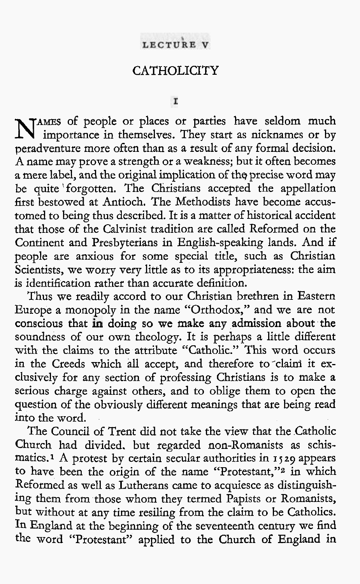## LECTURE V

# **CATHOLICITY**

I

NAMES of people or places or parties have seldom much importance in themselves. They start as nicknames or by peradventure more often than as a result of any formal decision. A name may prove a strength or a weakness; but it often becomes a mere label, and the original implication of the precise word may be quite forgotten. The Christians accepted the appellation first bestowed at Antioch. The Methodists have become accustomed to being thus described. It is a matter of historical accident that those of the Calvinist tradition are called Reformed on the Continent and Presbyterians in English-speaking lands. And if people are anxious for some special title, such as Christian Scientists, we worry very little as to its appropriateness: the aim is identification rather than accurate definition.

Thus we readily accord to our Christian brethren in Eastern Europe a monopoly in the name "Orthodox," and we are not conscious that in doing so we make any admission about the soundness of our own theology. It is perhaps a little different with the claims to the attribute "Catholic." This word occurs in the Creeds which all accept, and therefore to claim it exclusively for any section of professing Christians is to make a serious charge against others, and to oblige them to open the question of the obviously different meanings that are being read into the word.

The Council of Trent did not take the view that the Catholic Church had divided. but regarded non-Romanists as schismatics.1 A protest by certain secular authorities in I **529** appears to have been the origin of the name "Protestant,"<sup>2</sup> in which Reformed as well as Lutherans came to acquiesce as distinguishing them from those whom they termed Papists or Romanists, but without at any time resiling from the claim to be Catholics. In England at the beginning of the seventeenth century we find the word "Protestant" applied to the Church of England in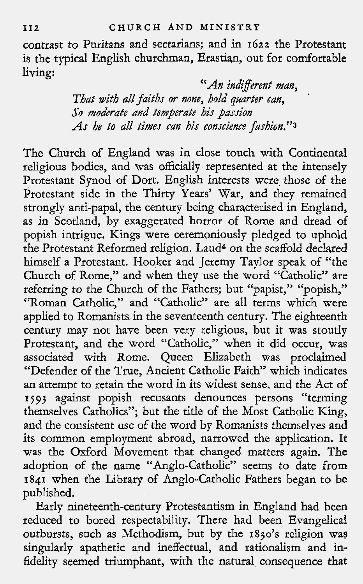contrast to Puritans and sectarians; and in **1622** the Protestant is the typical English churchman, Erastian, out for comfortable living:

"An indifferent man, That with all faiths or none, hold quarter can,  $\tilde{\phantom{a}}$ So moderate and temperate his passion As he to all times can his conscience fashion."3

The Church of England was in close touch with Continental religious bodies, and was officially represented at the intensely Protestant Synod of Dort. English interests were those of the Protestant side in the Thirty Years' War, and they remained strongly anti-papal, the century being characterised in England, as in Scotland, by exaggerated horror of Rome and dread of popish intrigue. Kings were ceremoniously pledged to uphold the Protestant Reformed religion. Laud\* on the scaffold declared himself a Protestant. Hooker and Jeremy Taylor speak of "the Church of Rome," and when they use the word "Catholic" are referring to the Church of the Fathers; but "papist," "popish," "Roman Catholic," and "Catholic" are all terms which were applied to Romanists in the seventeenth century. The eighteenth century may not have been very religious, but it was stoutly Protestant, and the word "Catholic," when it did occur, was associated with Rome. Queen Elizabeth was proclaimed "Defender of the True. Ancient Catholic Faith" which indicates an attempt to retain the word in its widest sense, and the Act of **1j93** against popish recusants denounces persons "terming themselves Catholics"; but the title of the Most Catholic King, and the consistent use of the word by Romanists themselves and its common employment abroad, narrowed the application. It was the Oxford Movement that changed matters again. The adoption of the name "Anglo-Catholic" seems to date from **1841** when the Library of Anglo-Catholic Fathers began to be published.

Early nineteenth-century Protestantism in England had been reduced to bored respectability. There had been Evangelical outbursts, such as Methodism, but by the 1830's religion was singularly apathetic and ineffectual, and rationalism and infidelity seemed triumphant, with the natural consequence that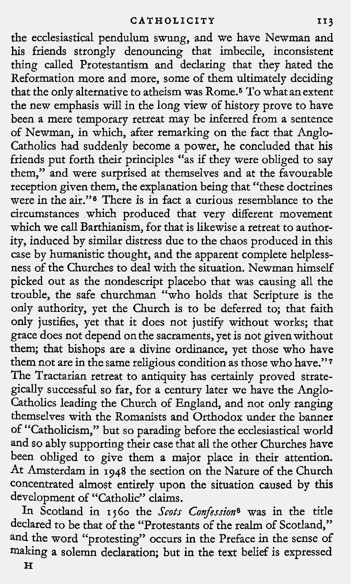the ecclesiastical pendulum swung, and we have Newman and his friends strongly denouncing that imbecile, inconsistent thing called Protestantism and declaring that they hated the Reformation more and more, some of them ultimately deciding that the only alternative to atheism was Rome.6 To what an extent the new emphasis will in the long view of history prove to have been a mere temporary retreat may be inferred from a sentence of Newman, in which, after remarking on the fact that Anglo-Catholics had suddenly become a power, he concluded that his friends put forth their principles "as if they were obliged to say them," and were surprised at themselves and at the favourable reception given them, the explanation being that "these doctrines were in the air."s There is in fact a curious resemblance to the circumstances which produced that very different movement which we call Barthianism, for that is likewise a retreat to authority, induced by similar distress due to the chaos produced in this case by humanistic thought, and the apparent complete helplessness of the Churches to deal with the situation. Newman himself picked out as the nondescript placebo that was causing all the trouble, the safe churchman "who holds that Scripture is the only authority, yet the Church is to be deferred to; that faith only justifies, yet that it does not justify without works; that grace does not depend on the sacraments, yet is not given without them; that bishops are a divine ordinance, yet those who have them not are in the same religious condition as those who have."' The Tractarian retreat to antiquity has certainly proved strategically successful so far, for a century later we have the Anglo-Catholics leading the Church of England, and not only ranging themselves with the Romanists and Orthodox under the banner of "Catholicism," but so parading before the ecclesiastical world and so ably supporting their case that all the other Churches have been obliged to give them a major place in their attention. At Amsterdam in 1948 the section on the Nature of the Church concentrated almost entirely upon the situation caused by this development of "Catholic" claims.

In Scotland in **1j60** the Scots Confessions was in the title declared to be that of the "Protestants of the realm of Scotland," and the word "protesting" occurs in the Preface in the sense of making a solemn declaration; but in the text belief is expressed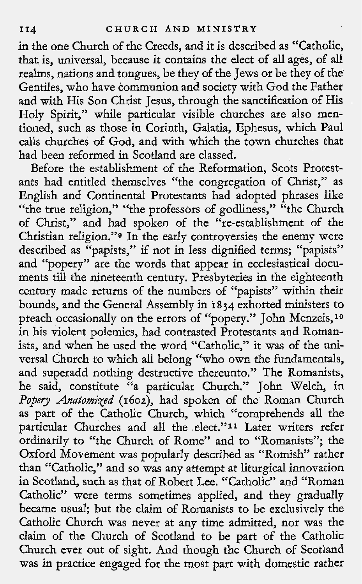in the one Church of the Creeds, and it is described as "Catholic, that is, universal, because it contains the elect of all ages, of all realms, nations and tongues, be they of the Jews or be they of the Gentiles, who have communion and society with God the Father and with His Son Christ Jesus, through the sanctification of His , Holy Spirit," while particular visible churches are also mentioned, such as those in Corinth, Galatia, Ephesus, which Paul calls churches of God, and with which the town churches that had been reformed in Scotland are classed.

Before the establishment of the Reformation, Scots Protestants had entitled themselves "the congregation of Christ," as English and Continental Protestants had adopted phrases like "the true religion," "the professors of godliness," "the Church of Christ," and had spoken of the "re-establishment of the Christian religion."g In the early controversies the enemy were described as "papists," if not in less dignified terms; "papists" and "popery" are the words that appear in ecclesiastical documents till the nineteenth century. Presbyteries in the eighteenth century made returns of the numbers of "papists" within their bounds, and the General Assembly in **1834** exhorted ministers to preach occasionally on the errors of "popery." John Menzeis,<sup>10</sup> in his violent polemics, had contrasted Protestants and Romanists, and when he used the word "Catholic," it was of the universal Church to which all belong "who own the fundamentals, and superadd nothing destructive thereunto." The Romanists, he said, constitute "a particular Church." John Welch, in *Popery Anatomized* (1602), had spoken of the Roman Church as part of the Catholic Church, which "comprehends all the particular Churches and all the elect."<sup>11</sup> Later writers refer ordinarily to "the Church of Rome" and to "Romanists"; the Oxford Movement was popularly described as "Romish" rather than "Catholic," and so was any attempt at liturgical innovation in Scotland, such as that of Robert Lee. "Catholic" and "Roman Catholic" were terms sometimes applied, and they gradually became usual; but the claim of Romanists to be exclusively the Catholic Church was never at any time admitted, nor was the claim of the Church of Scotland to be part of the Catholic Church ever out of sight. And though the Church of Scotland was in practice engaged for the most part with domestic rather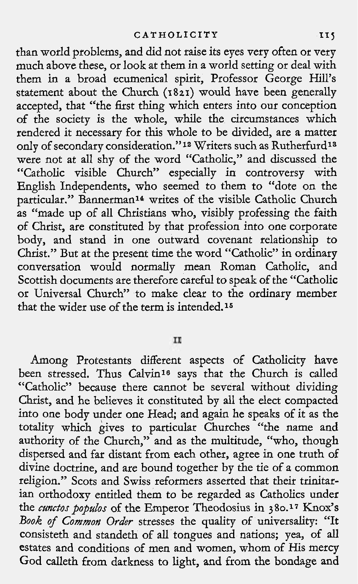than world problems, and did not raise its eyes very often or very much above these, or look at them in a world setting or deal with them in a broad ecumenical spirit, Professor George Hill's statement about the Church **(1821)** would have been generally accepted, that "the first thing which enters into our conception of the society is the whole, while the circumstances which rendered it necessary for this whole to be divided, are a matter only of secondary consideration."<sup>12</sup> Writers such as Rutherfurd<sup>13</sup> were not at all shy of the word "Catholic," and discussed the "Catholic visible Church" especially in controversy with English Independents, who seemed to them to "dote on the particular." Bannerman14 writes of the visible Catholic Church as "made up of all Christians who, visibly professing the faith of Christ, are constituted by that profession into one corporate body, and stand in one outward covenant relationship to Christ." But at the present time the word "Catholic" in ordinary conversation would normally mean Roman Catholic, and Scottish documents are therefore careful to speak of the "Catholic or Universal Church" to make clear to the ordinary member that the wider use of the term is intended.16

 $II$ 

Among Protestants different aspects of Catholicity have been stressed. Thus Calvin<sup>16</sup> says that the Church is called "Catholic" because there cannot be several without dividing Christ, and he believes it constituted by all the elect compacted into one body under one Head; and again he speaks of it as the totality which gives to particular Churches "the name and authority of the Church," and as the multitude, "who, though dispersed and far distant from each other, agree in one truth of divine doctrine, and are bound together by the tie of a common religion." Scots and Swiss reformers asserted that their trinitarian orthodoxy entitled them to be regarded as Catholics under the *cunctos populos* of the Emperor Theodosius in 380.<sup>17</sup> Knox's **Book of Common Order** stresses the quality of universality: "It consisteth and standeth of all tongues and nations; yea, of all estates and conditions of men and women, whom of His mercy God calleth from darkness to light, and from the bondage and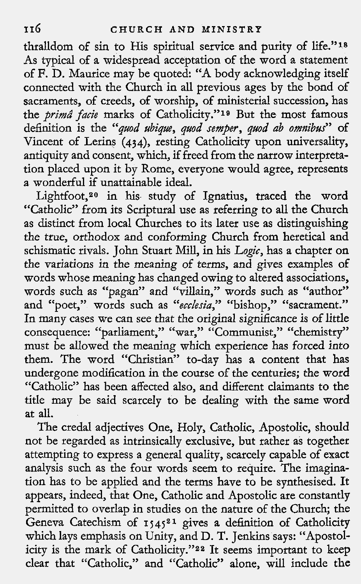thralldom of sin to His spiritual service and purity of life."18 As typical of a widespread acceptation of the word a statement of F. D. Maurice may be quoted: "A body acknowledging itself connected with the Church in all previous ages by the bond of sacraments, of creeds, of worship, of ministerial succession, has the *prima facie* marks of Catholicity."<sup>19</sup> But the most famous definition is the "quod ubique, quod semper, quod ab omnibus" of Vincent of Lerins (434), resting Catholicity upon universality, antiquity and consent, which, if freed from the narrow interpretation placed upon it by Rome, everyone would agree, represents a wonderful if unattainable ideal.

Lightfoot,<sup>20</sup> in his study of Ignatius, traced the word "Catholic" from its Scriptural use as referring to all the Church as distinct from local Churches to its later use as distinguishing the true, orthodox and conforming Church from heretical and schismatic rivals. John Stuart Mill, in his Logic, has a chapter on the variations in the meaning of terms, and gives examples of words whose meaning has changed owing to altered associations, words such as "pagan" and "villain," words such as "author" and "poet," words such as "ecclesia," "bishop," "sacrament." In many cases we can see that the original significance is of little consequence: "parliament," "war," "Communist," "chemistry" must be allowed the meaning which experience has forced into them. The word "Christian" to-day has a content that has undergone modification in the course of the centuries; the word "Catholic" has been affected also, and different claimants to the title may be said scarcely to be dealing with the same word at all.

The credal adjectives One, Holy, Catholic, Apostolic, should not be regarded as intrinsically exclusive, but rather as together attempting to express a genera1 quality, scarcely capable of exact analysis such as the four words seem to require. The imagination has to be applied and the terms have to be synthesised. It appears, indeed, that One, Catholic and Apostolic are constantly permitted to overlap in studies on the nature of the Church; the Geneva Catechism of 1545<sup>21</sup> gives a definition of Catholicity which lays emphasis on Unity, and D. T. Jenkins says: "Apostolicity is the mark of Catholicity."<sup>22</sup> It seems important to keep clear that "Catholic," and "Catholic" alone, will include the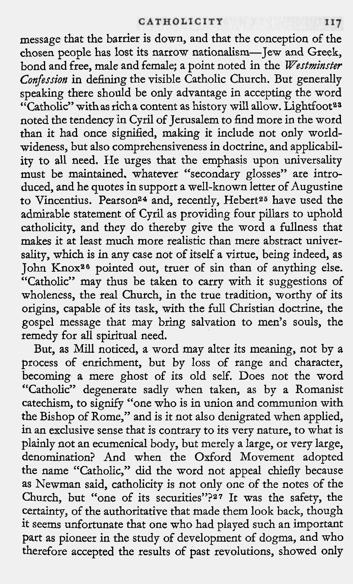#### CATHOLICITY

message that the barrier is down, and that the conception of the chosen people has lost its narrow nationalism-Jew and Greek, bond and free, male and female; a point noted in the **Westminster**  Confession in defining the visible Catholic Church. But generally speaking there should be only advantage in accepting the word "Catholic" withas richa content as history will allow. Lightfoot23 noted the tendencv in Cvril of Terusalem to find more in the word than it had once signified, making it include not only worldwideness, but also comprehensiveness in doctrine, and applicability to all need. He urges that the emphasis upon universality Ity to an need. The diges that the emphasis upon dinversanty<br>must be maintained, whatever "secondary glosses" are intro-<br>duced, and he quotes in support a well-known letter of Augustine to Vincentius. Pearson<sup>24</sup> and, recently, Hebert<sup>25</sup> have used the admirable statement of Cyril as providing four pillars to uphold catholidty, and they do thereby give the word a fullness that makes it at least much more realistic than mere abstract universality, which is in any case not of itself a virtue, being indeed, as John Knox26 pointed out, truer of sin than of anything else. "Catholic" may thus be taken to carry with it suggestions of wholeness, the real Church, in the true tradition, worthy of its origins, capable of its task, with the full Christian doctrine, the gospel message that may bring salvation to men's souls, the remedy for all spiritual need.

But, as Mill noticed, a word may alter its meaning, not by a process of enrichment, but by loss of range and character, becoming a mere ghost of its old self. Does not the word "Catholic" degenerate sadly when taken, as by a Romanist catechism, to signify "one who is in union and communion with the Bishop of Rome," and is it not also denigrated when applied, in an exclusive sense that is contrary to its very nature, to what is plainly not an ecumenical body, but merely a large, or very large, denomination? And when the Oxford Movement adopted the name "Catholic," did the word not appeal chiefly because as Newman said, catholicity is not only one of the notes of the Church, but "one of its securities"?27 It was the safety, the certainty, of the authoritative that made them look back, though it seems unfortunate that one who had played such an important part as pioneer in the study of development of dogma, and who therefore accepted the results of past revolutions, showed only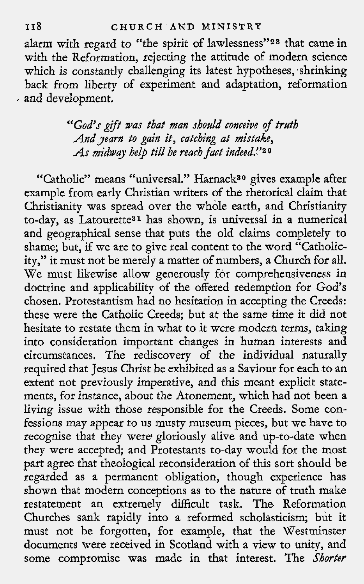alarm with regard to "the spirit of lawlessness"28 that came in with the Reformation, rejecting the attitude of modern science which is constantly challenging its latest hypotheses, shrinking back from liberty of experiment and adaptation, reformation , and development.

> "God's gift was that man should conceive of truth And yearn to gain it, catching at mistake, As midway help till he reach fact indeed."<sup>29</sup>

"Catholic" means "universal." Harnack<sup>30</sup> gives example after example from early Christian writers of the rhetorical claim that Christianity was spread over the whole earth, and Christianity to-day, as Latourette31 has shown, is universal in a numerical and geographical sense that puts the old claims completely to shame; but, if we are to give real content to the word "Catholicity," it must not be merely a matter of numbers, a Church for all. We must likewise allow generously for comprehensiveness in doctrine and applicability of the offered redemption for God's chosen. Protestantism had no hesitation in accepting the Creeds: these were the Catholic Creeds; but at the same time it did not hesitate to restate them in what to it were modern terms, taking into consideration important changes in human interests and circumstances. The rediscovery of the individual naturally required that Jesus Christ be exhibited as a Saviour for each to an extent not previously imperative, and this meant explicit statements, for instance, about the Atonement, which had not been a living issue with those responsible for the Creeds. Some confessions may appear to us musty museum pieces, but we have to recognise that they were gloriously alive and up-to-date when they were accepted; and Protestants to-day would for the most part agree that theological reconsideration of this sort should be regarded as a permanent obligation, though experience has shown that modern conceptions as to the nature of truth make restatement an extremely difficult task. The Reformation Churches sank rapidly into a reformed scholasticism; but it must not be forgotten, for example, that the Westminster documents were received in Scotland with a view to unity, and some compromise was made in that interest. The Shorter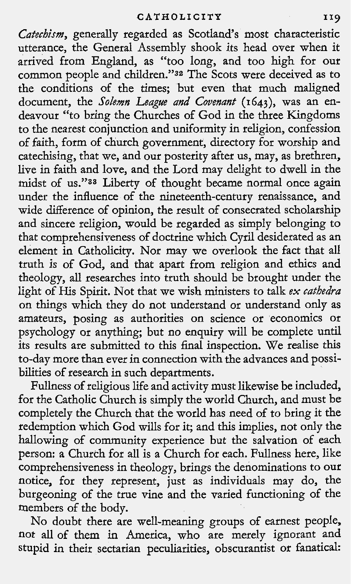Catechism, generally regarded as Scotland's most characteristic utterance, the General Assembly shook its head over when it arrived from England, as "too long, and too high for our common people and children."32 The Scots were deceived as to the conditions of the times; but even that much maligned document, the Solemn League and Covenant (1643), was an endeavour "to bring the Churches of God in the three Kingdoms to the nearest conjunction and uniformity in religion, confession of faith, form of church government, directory for worship and catechising, that we, and our posterity after us, may, as brethren, live in faith and love, and the Lord may delight to dwell in the midst of us."88 Liberty of thought became normal once again under the influence of the nineteenth-century renaissance, and wide difference of opinion, the result of consecrated scholarship and sincere religion, would be regarded as simply belonging to that comprehensiveness of doctrine which Cyril desiderated as an element in Catholicity. Nor may we overlook the fact that all truth is of God, and that apart from religion and ethics and theology, **all** researches into truth should be brought under the light of His Spirit. Not that we wish ministers to talk ex cathedra on things which they do not understand or understand only as amateurs, posing as authorities on science or economics or psychology or anything; but no enquiry will be complete until its results are submitted to this final inspection. We realise this to-day more than ever in connection with the advances and possibilities of research in such departments.

Fullness of religious life and activity must likewise be included, for the Catholic Church is simply the world Church, and must be completely the Church that the world has need of to bring it the redemption which God wills for it; and this implies, not only the hallowing of community experience but the salvation of each person: a Church for all is a Church for each. Fullness here, like comprehensiveness in theology, brings the denominations to our notice, for they represent, just as individuals may do, the burgeoning of the true vine and the varied functioning of the members of the body.

No doubt there are well-meaning groups of earnest people, not all of them in America, who are merely ignorant and stupid in their sectarian peculiarities, obscurantist or fanatical: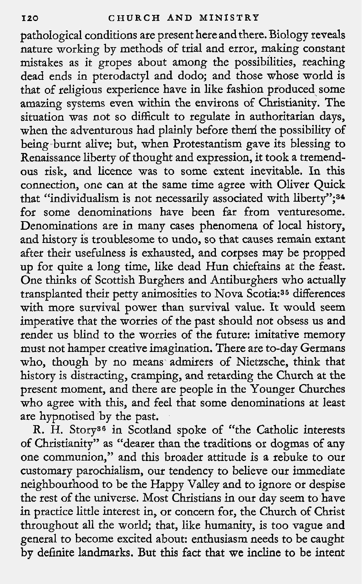pathological conditions are present here and there. Biology reveals nature working by methods of trial and error, making constant mistakes as it gropes about among the possibilities, reaching dead ends in pterodactyl and dodo; and those whose world is that of religious experience have in like fashion produced some amazing systems even within the environs of Christianity. The situation was not so difficult to regulate in authoritarian days, when the adventurous had plainly before them the possibility of being burnt alive; but, when Protestantism gave its blessing to Renaissance liberty of thought and expression, it took a tremendous risk, and licence was to some extent inevitable. In this connection, one can at the same time agree with Oliver Quick that "individualism is not necessarily associated with liberty";<sup>34</sup> for some denominations have been far from venturesome. Denominations are in many cases phenomena of local history, and history is troublesome to undo, so that causes remain extant after their usefulness is exhausted, and corpses may be propped up for quite a long time, like dead Hun chieftains at the feast. One thinks of Scottish Burghers and Antiburghers who actually transplanted their petty animosities to Nova Scotia:36 differences with more survival power than survival value. It would seem imperative that the worries of the past should not obsess us and render us blind to the worries of the future: imitative memory must not hamper creative imagination. There are to-day Germans who, though by no means admirers of Nietzsche, think that history is distracting, cramping, and retarding the Church at the present moment, and there are people in the Younger Churches who agree with this, and feel that some denominations at least are hypnotised by the past.

R. H. Story36 in Scotland spoke of "the Catholic interests of Christianity" as "dearer than the traditions or dogmas of any one communion," and this broader attitude is a rebuke to our customary parochialism, our tendency to believe our immediate neighbourhood to be the Happy Valley and to ignore or despise the rest of the universe. Most Christians in our day seem to have in practice little interest in, or concern for, the Church of Christ throughout all the world; that, like humanity, is too vague and general to become excited about: enthusiasm needs to be caught by definite landmarks. But this fact that we incline to be intent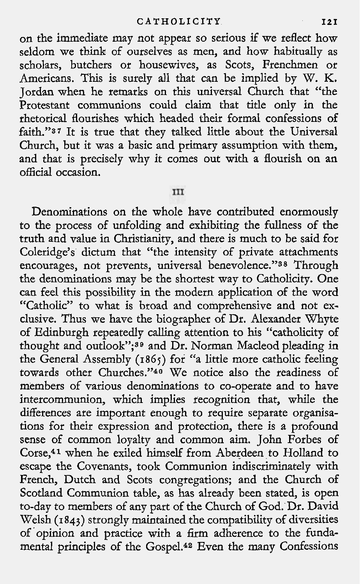on the immediate may not appear so serious if we reflect how seldom we think of ourselves as men, and how habitually as scholars, butchers or housewives, as Scots, Frenchmen or Americans. This is surely all that can be implied by W. K. Jordan when he remarks on this universal Church that "the Protestant communions could claim that title only in the rhetorical flourishes which headed their formal confessions of faith."<sup>37</sup> It is true that they talked little about the Universal Church, but it was a basic and primary assumption with them, and that is precisely why it comes out with a flourish on an official occasion.

### III

Denominations on the whole have contributed enormously to the process of unfolding and exhibiting the fullness of the truth and value in Christianity, and there is much to be said for Coleridge's dictum that "the intensity of private attachments encourages, not prevents, universal benevolence."<sup>38</sup> Through the denominations may be the shortest way to Catholicity. One can feel this possibility in the modern application of the word "Catholic" to what is broad and comprehensive and not exclusive. Thus we have the biographer of Dr. Alexander Whyte of Edinburgh repeatedly calling attention to his "catholicity of thought and outlook";39 and Dr. Norman Macleod pleading in the General Assembly (186s) for "a little more catholic feeling towards other Churches."40 We notice also the readiness of members of various denominations to co-operate and to have intercommunion, which implies recognition that, while the differences are important enough to require separate organisations for their expression and protection, there is a profound sense of common loyalty and common aim. John Forbes of Corse,41 when he exiled himself from Aberdeen to Holland to escape the Covenants, took Communion indiscriminately with French, Dutch and Scots congregations; and the Church of Scotland Communion table, as has already been stated, is open to-day to members of any part of the Church of God. Dr. David Welsh (1843) strongly maintained the compatibility of diversities of opinion and practice with a firm adherence to the fundamental principles of the Gospel.42 Even the many Confessions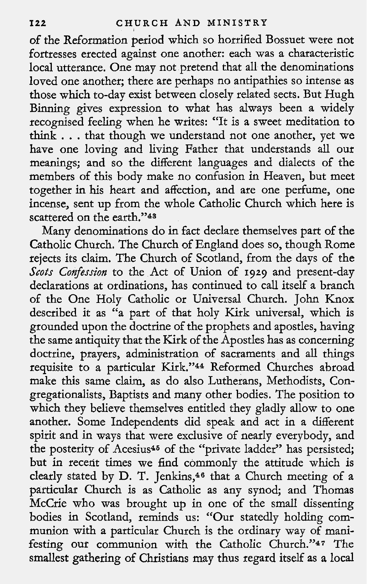of the Reformation period which so horrified Bossuet were not fortresses erected against one another: each was a characteristic local utterance. One may not pretend that all the denominations loved one another; there are perhaps no antipathies so intense as those which to-day exist between closely related sects. But Hugh Binning gives expression to what has always been a widely recognised feeling when he writes: "It is a sweet meditation to think . . . that though we understand not one another, yet we have one loving and living Father that understands all our meanings; and so the different languages and dialects of the members of this body make no confusion in Heaven, but meet together in his heart and affection, and are one perfume, one incense, sent up from the whole Catholic Church which here is scattered on the earth."43

Many denominations do in fact declare themselves part of the Catholic Church. The Church of England does so, though Rome rejects its claim. The Church of Scotland, from the days of the Scots Confession to the Act of Union of 1929 and present-day declarations at ordinations, has continued to call itself a branch of the One Holy Catholic or Universal Church. John Knox described it as "a part of that holy Kirk universal, which is grounded upon the doctrine of the prophets and apostles, having the same antiquity that the Kirk of the Apostles has as concerning doctrine, prayers, administration of sacraments and all things requisite to a particular Kirk."44 Reformed Churches abroad make this same claim, as do also Lutherans, Methodists, Congregationalists, Baptists and many other bodies. The position to which they believe themselves entitled they gladly allow to one another. Some Independents did speak and act in a different spirit and in ways that were exclusive of nearly everybody, and the posterity of Acesius46 of the "private ladder" has persisted; but in recent times we find commonly the attitude which is clearly stated by D. T. Jenkins,<sup>46</sup> that a Church meeting of a particular Church is as Catholic as any synod; and Thomas McCrie who was brought up in one of the small dissenting bodies in Scotland, reminds us: "Our statedly holding communion with a particular Church is the ordinary way of manifesting our communion with the Catholic Church."47 The smallest gathering of Christians may thus regard itself as a local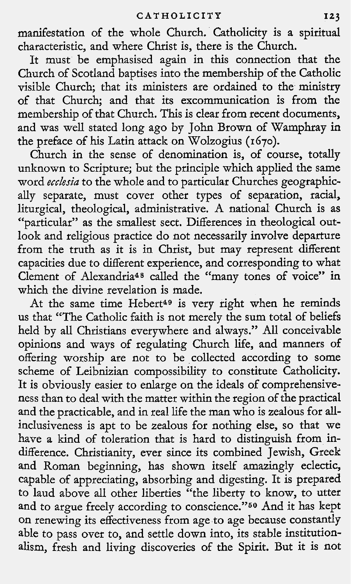manifestation of the whole Church. Catholicity is a spiritual characteristic, and where Christ is, there is the Church.

It must be emphasised again in this connection that the Church of Scotland baptises into the membership of the Catholic visible Church; that its ministers are ordained to the ministry of that Church; and that its excommunication is from the membership of that Church. This is clear from recent documents, and was well stated long ago by John Brown of Wamphray in the preface of his Latin attack on Wolzogius **(1670).** 

Church in the sense of denomination is, of course, totally unknown to Scripture; but the principle which applied the same word *ecclesia* to the whole and to particular Churches geographically separate, must cover other types of separation, racial, liturgical, theological, administrative. A national Church is as "particular" as the smallest sect. Differences in theological outlook and religious practice do not necessarily involve departure from the truth as it is in Christ, but may represent different capacities due to different experience, and corresponding to what Clement of Alexandria48 called the "many tones of voice" in which the divine revelation is made.

At the same time Hebert<sup>49</sup> is very right when he reminds us that "The Catholic faith is not merely the sum total of beliefs held by all Christians everywhere and always." All conceivable opinions and ways of regulating Church life, and manners of offering worship are not to be collected according to some scheme of Leibnizian compossibility to constitute Catholicity. It is obviously easier to enlarge on the ideals of comprehensiveness than to deal with the matter within the region of the practical and the practicable, and in real life the man who is zealous for allinclusiveness is apt to be zealous for nothing else, so that we have a kind of toleration that is hard to distinguish from indifference. Christianity, ever since its combined Jewish, Greek and Roman beginning, has shown itself amazingly eclectic, capable of appreciating, absorbing and digesting. It is prepared to laud above all other liberties "the liberty to know, to utter and to argue freely according to conscience."<sup>50</sup> And it has kept on renewing its effectiveness from age to age because constantly able to pass over to, and settle down into, its stable institutionalism, fresh and living discoveries of the Spirit. But it is not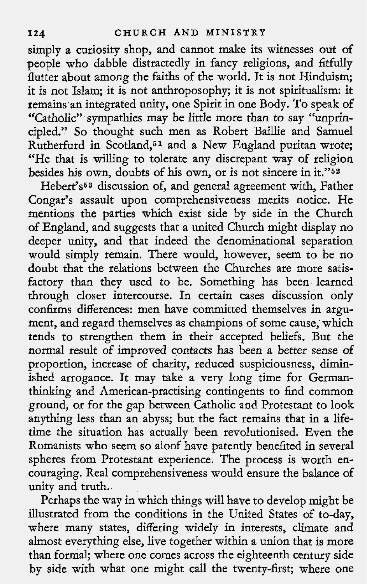simply a curiosity shop, and cannot make its witnesses out of people who dabble distractedly in fancy religions, and fitfully flutter about among the faiths of the world. It is not Hinduism; it is not Islam; it is not anthroposophy; it is not spiritualism: it remains an integrated unity, one Spirit in one Body. To speak of "Catholic" sympathies may be little more than to say "unprincipled." So thought such men as Robert Baillie and Samuel Rutherfurd in Scotland,61 and a New England puritan wrote; "He that is willing to tolerate any discrepant way of religion besides his own, doubts of his own, or is not sincere in it."62

Hebert's<sup>53</sup> discussion of, and general agreement with, Father Congar's assault upon comprehensiveness merits notice. He mentions the parties which exist side by side in the Church of England, and suggests that a united Church might display no deeper unity, and that indeed the denominational separation would simply remain. There would, however, seem to be no doubt that the relations between the Churches are more satisfactory than they used to be. Something has been learned through closer intercourse. In certain cases discussion only confirms differences: men have committed themselves in argument, and regard themselves as champions of some cause, which tends to strengthen them in their accepted beliefs. But the normal result of improved contacts has been a better sense of proportion, increase of charity, reduced suspiciousness, diminished arrogance. It may take a very long time for Germanthinking and American-practising contingents to find common ground, or for the gap between Catholic and Protestant to look anything less than an abyss; but the fact remains that in a lifetime the situation has actually been revolutionised. Even the Romanists who seem so aloof have patently benefited in several spheres from Protestant experience. The process is worth encouraging. Real comprehensiveness would ensure the balance of unity and truth.

Perhaps the way in which things will have to develop might be illustrated from the conditions in the United States of to-day, where many states, differing widely in interests, climate and almost everything else, live together within a union that is more than formal; where one comes across the eighteenth century side by side with what one might call the twenty-first; where one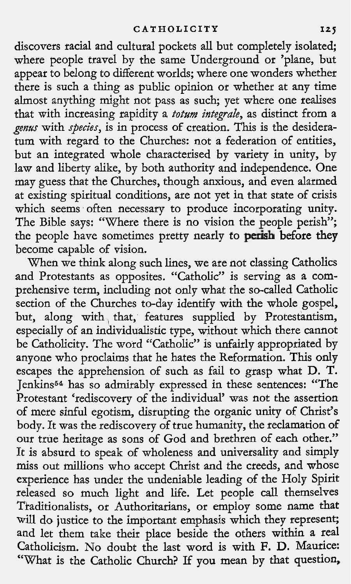discovers racial and cultural pockets all but completely isolated; where people travel by the same Underground or 'plane, but appear to belong to different worlds; where one wonders whether there is such a thing as public opinion or whether at any time almost anything might not pass as such; yet where one realises that with increasing rapidity a *totum integrale*, as distinct from a genus with species, is in process of creation. This is the desideratum with regard to the Churches: not a federation of entities, but an integrated whole characterised by variety in unity, by law and liberty alike, by both authority and independence. One may guess that the churches, though anxious, and even alarmed at existing spiritual conditions, are not yet in that state of crisis which seems often necessary to produce incorporating unity. The Bible says: "Where there is no vision the people perish"; the people have sometimes pretty nearly to perish before they become capable of vision.

When we think along such lines, we are not classing Catholics and Protestants as opposites. "Catholic" is serving as a comprehensive term, including not only what the so-called Catholic section of the Churches to-day identify with the whole gospel, but, along with, that, features supplied by Protestantism, especially of an individualistic type, without which there cannot be Catholicity. The word "Catholic" is unfairly appropriated by anyone who proclaims that he hates the Reformation. This only escapes the apprehension of such as fail to grasp what D. T. Jenkins64 has so admirably expressed in these sentences: "The Protestant 'rediscovery of the individual' was not the assertion of mere sinful egotism, disrupting the organic unity of Christ's body. It was the rediscovery of true humanity, the reclamation of our true heritage as sons of God and brethren of each other." It is absurd to speak of wholeness and universality and simply miss out millions who accept Christ and the creeds, and whose experience has under the undeniable leading of the Holy Spirit released so much light and life. Let people call themselves Traditionalists, or Authoritarians, or employ some name that will do justice to the important emphasis which they represent; and let them take their place beside the others within a real Catholicism. No doubt the last word is with F. D. Maurice: "What is the Catholic Church? If you mean by that question,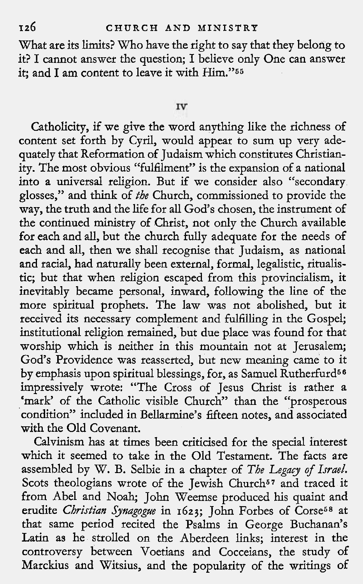What are its limits? Who have the right to say that they belong to it? I cannot answer the question; I believe only One can answer it; and I am content to leave it with Him."55

#### IV

Catholicity, if we give the word anything like the richness of content set forth by Cyril, would appear to sum up very adequately that Reformation of Judaism which constitutes Christianity. The most obvious "fulfilment" is the expansion of a national into a universal religion. But if we consider also "secondary glosses," and think of *the* Church, commissioned to provide the way, the truth and the life for all God's chosen, the instrument of the continued ministry of Christ, not only the Church available for each and all, but the church fully adequate for the needs of each and all, then we shall recognise that Judaism, as national and racial, had naturally been external, formal, legalistic, ritualistic; but that when religion escaped from this provincialism, it inevitably became personal, inward, following the line of the more spiritual prophets. The law was not abolished, but it received its necessary complement and fulfilling in the Gospel; institutional religion remained, but due place was found for that worship which is neither in this mountain not at Jerusalem; God's Providence was reasserted, but new meaning came to it by emphasis upon spiritual blessings, for, as Samuel Rutherfurd<sup>56</sup> impressively wrote: "The Cross of Jesus Christ is rather a 'mark' of the Catholic visible Church" than the "prosperous condition" included in Bellarmine's fifteen notes, and associated with the Old Covenant.

Calvinism has at times been criticised for the special interest which it seemed to take in the Old Testament. The facts are assembled by W. B. Selbie in a chapter of *The Legacy* of *Israel.*  Scots theologians wrote of the Jewish Church<sup>57</sup> and traced it from Abel and Noah; John Weemse produced his quaint and erudite *Christian Jjnagogge* in *1623;* John Forbes of Corse58 at that same period recited the Psalms in George Buchanan's Latin as he strolled on the Aberdeen links; interest in the controversy between Voetians and Cocceians, the study of Marckius and Witsius, and the popularity of the writings of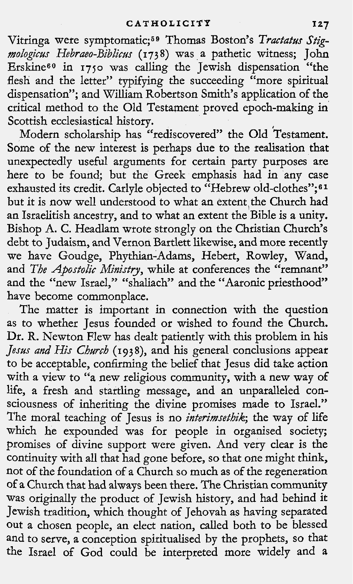Vitringa were symptomatic;<sup>59</sup> Thomas Boston's *Tractatus Stigmologicus Hebraeo-Biblic~s* (1738) was a pathetic witness; John Erskine<sup>60</sup> in 1750 was calling the Jewish dispensation "the flesh and the letter" typifying the succeeding "more spiritual dispensation"; and William Robertson Smith's application of the critical method to the Old Testament proved epoch-making in Scottish ecclesiastical history.

Modern scholarship has "rediscovered" the Old Testament. Some of the new interest is perhaps due to the realisation that unexpectedly useful arguments for certain party purposes are here to be found; but the Greek emphasis had in any case exhausted its credit. Carlyle objected to "Hebrew old-clothes";<sup>61</sup> but it is now well understood to what an extent the Church had an Israelitish ancestry, and to what an extent the Bible is a unity. Bishop A. C. Headlam wrote strongly on the Christian Church's debt to Judaism, and Vernon Bartlett likewise, and more recently we have Goudge, Phythian-Adams, Hebert, Rowley, Wand, and *The Apostolic Ministry*, while at conferences the "remnant" and the "new Israel," "shaliach" and the "Aaronic priesthood" have become commonplace.

The matter is important in connection with the question as to whether Jesus founded or wished to found the Church. Dr. R. Newton Flew has dealt patiently with this problem in his Jesus and His Church (1938), and his general conclusions appear to be acceptable, confirming the belief that Jesus did take action with a view to ''a new religious community, with a new way of life, a fresh and startling message, and an unparalleled consciousness of inheriting the divine promises made to Israel." The moral teaching of Jesus is no *interimsethik;* the way of life which he expounded was for people in organised society; promises of divine support were given. And very clear is the continuity with all that had gone before, so that one might think, not of the foundation of a Church so much as of the regeneration of a Church that had always been there. The Christian community was originally the product of Jewish history, and had behind it Jewish tradition, which thought of Jehovah as having separated out a chosen people, an elect nation, called both to be blessed and to serve, a conception spiritualised by the prophets, so that the Israel of God could be interpreted more widely and a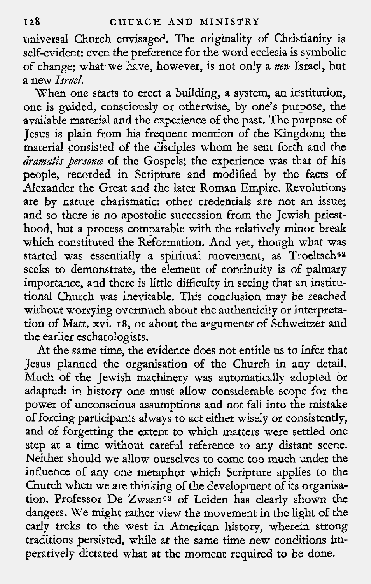universal Church envisaged. The originality of Christianity is self-evident: even the preference for the word ecclesia is symbolic of change; what we have, however, is not only a *new* Israel, but a new *Israel.* 

When one starts to erect a building, a system, an institution, one is guided, consciously or otherwise, by one's purpose, the available material and the experience of the past. The purpose of Jesus is plain from his frequent mention of the Kingdom; the material consisted of the disciples whom he sent forth and the *dramatis persane* of the Gospels; the experience was that of his people, recorded in Scripture and modified by the facts of Alexander the Great and the later Roman Empire. Revolutions are by nature charismatic: other credentials are not an issue; and so there is no apostolic succession from the Jewish priesthood, but a process comparable with the relatively minor break which constituted the Reformation. And yet, though what was started was essentially a spiritual movement, as Troeltsch<sup>62</sup> seeks to demonstrate, the element of continuity is of palmary importance, and there is little difficulty in seeing that an institutional Church was inevitable. This conclusion may be reached without worrying overmuch about the authenticity or interpretation of Matt. xvi. 18, or about the arguments of Schweitzer and the earlier eschatologists.

At the same time, the evidence does not entitle us to infer that Jesus planned the organisation of the Church in any detail. Much of the Jewish machinery was automatically adopted or adapted: in history one must allow considerable scope for the power of unconscious assumptions and not fall into the mistake of forcing participants always to act either wisely or consistently, and of forgetting the extent to which matters were settled one step at a time without careful reference to any distant scene. Neither should we allow ourselves to come too much under the influence of any one metaphor which Scripture applies to the Church when we are thinking of the development of its organisation. Professor De Zwaan<sup>63</sup> of Leiden has clearly shown the dangers. We might rather view the movement in the light of the early treks to the west in American history, wherein strong traditions persisted, while at the same time new conditions imperatively dictated what at the moment required to be done.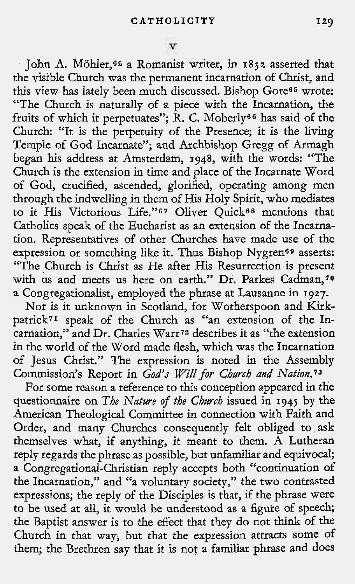John A. Mohler,e4 a Romanist writer, in 1832 asserted that the visible Church was the permanent incarnation of Christ, and this view has lately been much discussed. Bishop Gore65 wrote: "The Church is naturally of a piece with the Incarnation, the fruits of which it perpetuates"; R. C. Moberly<sup>66</sup> has said of the Church: "It is the perpetuity of the Presence; it is the living Temple of God Incarnate"; and Archbishop Gregg of Armagh began his address at Amsterdam, 1948, with the words: "The Church is the extension in time and place of the Incarnate Word of God, crucified, ascended, glorified, operating among men through the indwelling in them of His Holy Spirit, who mediates to it His Victorious Life."67 Oliver Quick68 mentions that Catholics speak of the Eucharist as an extension of the Incarnation. Representatives of other Churches have made use of the expression or something like it. Thus Bishop Nygren<sup>69</sup> asserts: "The Church is Christ as He after His Resurrection is present with us and meets us here on earth." Dr. Parkes Cadman,70 a Congregationalist, employed the phrase at Lausanne in 1927.

Nor is it unknown in Scotland, for Wotherspoon and Kirkpatrick71 speak of the Church as "an extension of the Incarnation," and Dr. Charles Warr<sup>72</sup> describes it as "the extension in the world of the Word made flesh, which was the Incarnation of Jesus Christ." The expression is noted in the Assembly Commission's Report in God's Will for *Cbwcb and Nation.73* 

For some reason a reference to this conception appeared in the questionnaire on *The Natwe* of *the Chwcb* issued in 1945 by the American Theological Committee in connection with Faith and Order, and many Churches consequently felt obliged to ask themselves what, if anything, it meant to them. A Lutheran reply regards the phrase as possible, but unfamiliar and equivocal; a Congregational-Christian reply accepts both "continuation of the Incarnation," and "a voluntary society," the two contrasted expressions; the reply of the Disciples is that, if the phrase were to be used at all, it would be understood as a figure of speech; the Baptist answer is to the effect that they do not think of the Church in that way, but that the expression attracts some of them; the Brethren say that it is not a familiar phrase and does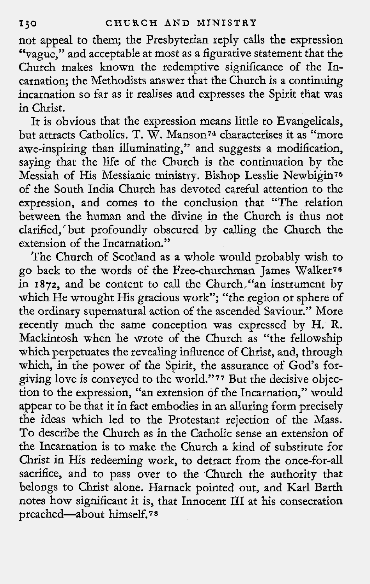not appeal to them; the Presbyterian reply calls the expression "vague," and acceptable at most as a figurative statement that the Church makes known the redemptive significance of the Incarnation; the Methodists answer that the Church is a continuing incarnation so far as it realises and expresses the Spirit that was in Christ.

It is obvious that the expression means little to Evangelicals, but attracts Catholics. T. W. Manson<sup>74</sup> characterises it as "more awe-inspiring than illuminating," and suggests a modihcation, saying that the life of the Church is the continuation by the Messiah of His Messianic ministry. Bishop Lesslie Newbigin's of the South India Church has devoted careful attention to the expression, and comes to the conclusion that "The relation between the human and the divine in the Church is thus not clarified,'but profoundly obscured by calling the Church the extension of the Incarnation."

The Church of Scotland as a whole would probably wish to go back to the words of the Free-churchman James Walker76 in **1872,** and be content to call the Church,"an instrument by which He wrought His gracious work"; "the region or sphere of the ordinary supernatural action of the ascended Saviour." More recently much the same conception was expressed by H. R. Mackintosh when he wrote of the Church as "the fellowship which perpetuates the revealing influence of Christ, and, through which, in the power of the Spirit, the assurance of God's forgiving love is conveyed to the world."77 But the decisive objection to the expression, "an extension of the Incarnation," would appear to be that it in fact embodies in an alluring form precisely the ideas which led to the Protestant rejection of the Mass. To describe the Church as in the Catholic sense an extension of the Incarnation is to make the Church a kind of substitute for Christ in His redeeming work, to detract from the once-for-all sacrifice, and to pass over to the Church the authority that belongs to Christ alone. Harnack pointed out, and Karl Barth notes how significant it is, that Innocent 111 at his consecration preached-about himself. 7 **8**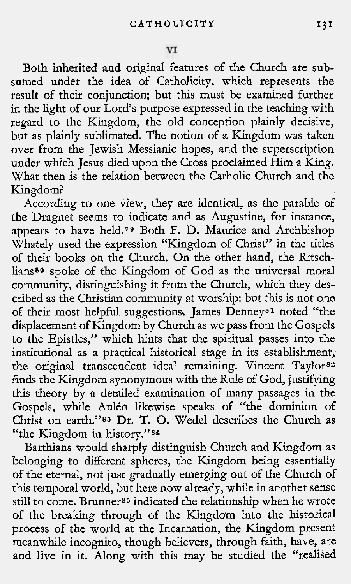Both inherited and original features of the Church are subsumed under the idea of Catholicity, which represents the result of their conjunction; but this must be examined further in the light of our Lord's purpose expressed in the teaching with regard to the Kingdom, the old conception plainly decisive, but as plainly sublimated. The notion of a Kingdom was taken over from the Jewish Messianic hopes, and the superscription under which Jesus died upon the Cross proclaimed Him a King. What then is the relation between the Catholic Church and the Kingdom?

According to one view, they are identical, as the parable of the Dragnet seems to indicate and as Augustine, for instance, appears to have held.<sup>79</sup> Both F. D. Maurice and Archbishop Whately used the expression "Kingdom of Christ" in the titles of their books on the Church. On the other hand, the Ritschlians<sup>80</sup> spoke of the Kingdom of God as the universal moral community, distinguishing it from the Church, which they described as the Christian community at worship: but this is not one of their most helpful suggestions. James Denneysl noted "the displacement of Kingdom by Church as we pass from the Gospels to the Epistles," which hints that the spiritual passes into the institutional as a practical historical stage in its establishment, the original transcendent ideal remaining. Vincent Taylor<sup>82</sup> finds the Kingdom synonymous with the Rule of God, justifying this theory by a detailed examination of many passages in the Gospels, while Aulén likewise speaks of "the dominion of Christ on earth."<sup>83</sup> Dr. T. O. Wedel describes the Church as "the Kingdom in history."<sup>84</sup>

Barthians would sharply distinguish Church and Kingdom as belonging to different spheres, the Kingdom being essentially of the eternal, not just gradually emerging out of the Church of this temporal world, but here now already, while in another sense still to come. Brunner<sup>85</sup> indicated the relationship when he wrote of the breaking through of the Kingdom into the historical process of the world at the Incarnation, the Kingdom present meanwhile incognito, though believers, through faith, have, are and live in it. Along with this may be studied the "realised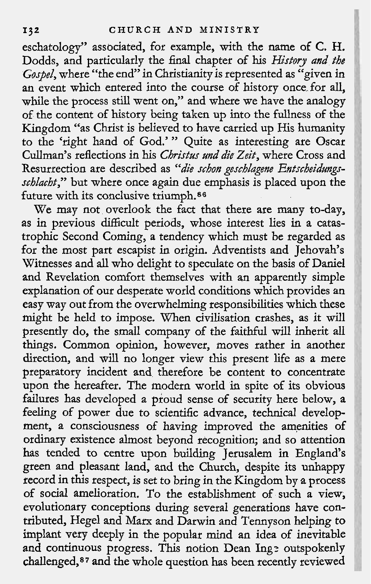eschatology" associated, for example, with the name of C. H. Dodds, and particularly the final chapter of his History and the Gostel, where "the end" in Christianity is represented as "given in an event which entered into the course of history once for all, while the process still went on," and where we have the analogy of the content of history being taken up into the fullness of the Kingdom "as Christ is believed to have carried up His humanity to the 'right hand of God.' " Quite as interesting are Oscar Cullman's reflections in his Christus und die Zeit, where Cross and Resurrection are described as "die schon geschlagene Entscheidungsschlacht," but where once again due emphasis is placed upon the future with its conclusive triumph.86

We may not overlook the fact that there are many to-day, as in previous difficult periods, whose interest lies in a catastrophic Second Coming, a tendency which must be regarded as for the most part escapist in origin. Adventists and Jehovah's Witnesses and all who delight to speculate on the basis of Daniel and Revelation comfort themselves with an apparently simple explanation of our desperate world conditions which provides an easy way out from the overwhelming responsibilities which these might be held to impose. When civilisation crashes, as it will presently do, the small company of the faithful will inherit all things. Common opinion, however, moves rather in another direction, and will no longer view this present life as a mere preparatory incident and therefore be content to concentrate upon the hereafter. The modern world in spite of its obvious failures has developed a proud sense of security here below, a feeling of power due to scientific advance, technical development, a consciousness of having improved the amenities of ordinary existence almost beyond recognition; and so attention has tended to centre upon building Jerusalem in England's green and pleasant land, and the Church, despite its unhappy record in this respect, is set to bring in the Kingdom by a process of social amelioration. To the establishment of such a view, evolutionary conceptions during several generations have contributed, Hegel and Marx and Darwin and Tennyson helping to implant very deeply in the popular mind an idea of inevitable and continuous progress. This notion Dean Ing: outspokenly challenged,87 and the whole question has been recently reviewed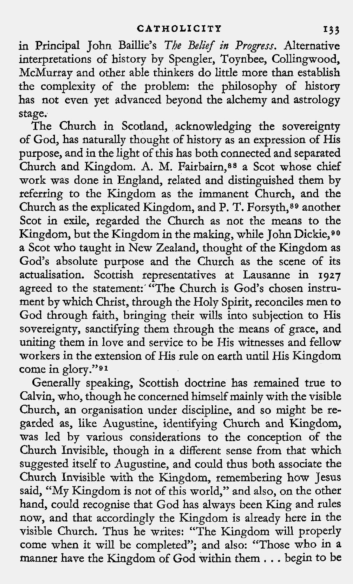**in** Principal John Baillie's The *Belief in Progress.* Alternative interpretations of history by Spengler, Toynbee, Collingwood, McMurray and other able thinkers do little more than establish the complexity of the problem: the philosophy of history has not even yet advanced beyond the alchemy and astrology stage.

The Church in Scotland, acknowledging the sovereignty of God, has naturally thought of history as an expression of His purpose, and in the light of this has both connected and separated Church and Kingdom. A. M. Fairbairn, 88 a Scot whose chief work was done in England, related and distinguished them by referring to the Kingdom as the immanent Church, and the Church as the explicated Kingdom, and P. T. Forsyth,<sup>89</sup> another Scot in exile, regarded the Church as not the means to the Kingdom, but the Kingdom in the making, while John Dickie,<sup>90</sup> a Scot who taught in New Zealand, thought of the Kingdom as God's absolute purpose and the Church as the scene of its actualisation. Scottish representatives at Lausanne in **1927**  agreed to the statement:' "The Church is God's chosen instrument by which Christ, through the Holy Spirit, reconciles men to God through faith, bringing their wills into subjection to His sovereignty, sanctifying them through the means of grace, and uniting them in love and service to be His witnesses and fellow workers in the extension of His rule on earth until His Kingdom come in glory."91

Generally speaking, Scottish doctrine has remained true to Calvin, who, though he concerned himself mainly with the visible Church, an organisation under discipline, and so might be regarded as, like Augustine, identifying Church and Kingdom, was led by various considerations to the conception of the Church Invisible, though in a different sense from that which suggested itself to Augustine, and could thus both associate the Church Invisible with the Kingdom, remembering how Jesus said, "My Kingdom is not of this world," and also, on the other hand, could recognise that God has always been King and rules now, and that accordingly the Kingdom is already here in the visible Church. Thus he writes: "The Kingdom will properly come when it will be completed"; and also: "Those who in a manner have the Kingdom of God within them . . . begin to be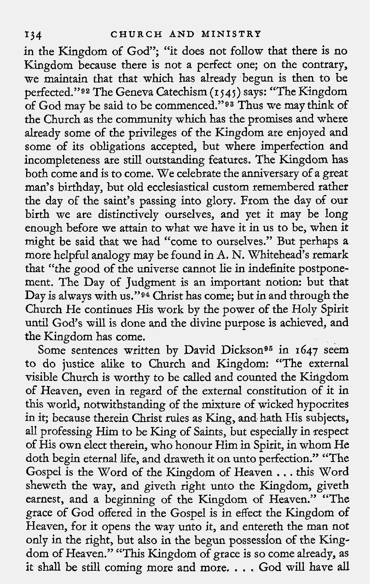in the Kingdom of God"; "it does not follow that there is no Kingdom because there is not a perfect one; on the contrary, we maintain that that which has already begun is then to be perfected."92 The Geneva Catechism (I **~45)** says: "The Kingdom of God may be said to be commenced."93 Thus we may think of the Church as the community which has the promises and where already some of the privileges of the Kingdom are enjoyed and some of its obligations accepted, but where imperfection and incompleteness are still outstanding features. The Kingdom has both come and is to come. We celebrate the anniversary of a great man's birthday, but old ecclesiastical custom remembered rather the day of the saint's passing into glory. From the day of our birth we are distinctively ourselves, and yet it may be long enough before we attain to what we have it in us to be, when it might be said that we had "come to ourselves." But perhaps a more helpful analogy may be found in **A.** N. Whitehead's remark that "the good of the universe cannot lie in indefinite postponement. The Day of Judgment is an important notion: but that Day is always with us."94 Christ has come; but in and through the Church He continues His work by the power of the Holy Spirit until God's will is done and the divine purpose is achieved, and the Kingdom has come.

Some sentences written by David Dickson<sup>95</sup> in 1647 seem to do justice alike to Church and Kingdom: "The external visible Church is worthy to be called and counted the Kingdom of Heaven, even in regard of the external constitution of it in this world, notwithstanding of the mixture of wicked hypocrites in it; because therein Christ rules as King, and hath His subjects, all professing Him to be King of Saints, but especially in respect of His own elect therein, who honour Him in Spirit, in whom He doth begin eternal life, and draweth it on unto perfection." "The Gospel is the Word of the Kingdom of Heaven . . . this Word sheweth the way, and giveth right unto the Kingdom, giveth earnest, and a beginning of the Kingdom of Heaven." "The grace of God offered in the Gospel is in effect the Kingdom of Heaven, for it opens the way unto it, and entereth the man not only in the right, but also in the begun possession of the Kingdom of Heaven." "This Kingdom of grace is so come already, as it shall be still coming more and more. . . . God will have all